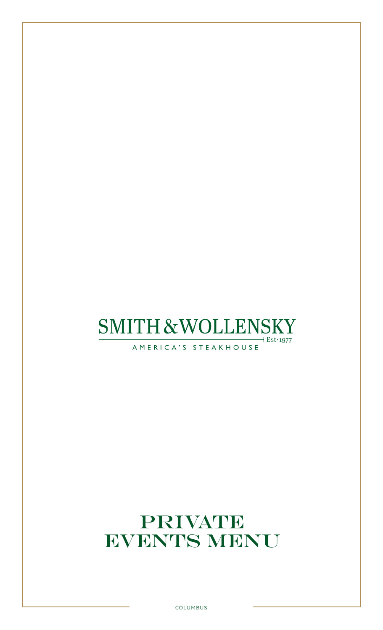### **SMITH & WOLLENSKY**  $+$  Est $\cdot$ 1977

AMERICA'S STEAKHOUSE

# PRIVATE EVENTS MENU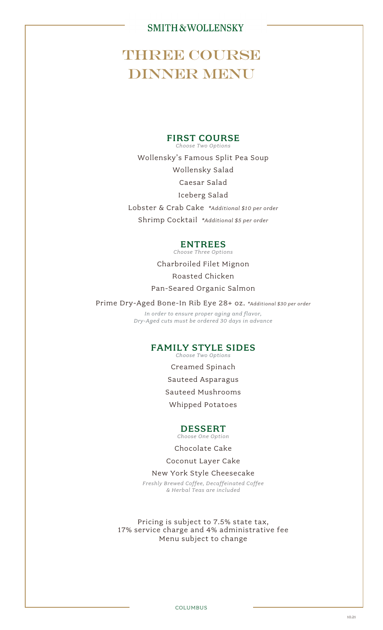## **THREE COURSE DINNER MENU**

#### FIRST COURSE

*Choose Two Options* Wollensky's Famous Split Pea Soup

Wollensky Salad

Caesar Salad

Iceberg Salad Lobster & Crab Cake *\*Additional \$10 per order*

Shrimp Cocktail *\*Additional \$5 per order*

#### ENTREES

*Choose Three Options*

Charbroiled Filet Mignon Roasted Chicken Pan-Seared Organic Salmon

Prime Dry-Aged Bone-In Rib Eye 28+ oz. *\*Additional \$<sup>30</sup> per order*

*In order to ensure proper aging and flavor, Dry-Aged cuts must be ordered 30 days in advance*

#### FAMILY STYLE SIDES

*Choose Two Options*

Creamed Spinach Sauteed Asparagus Sauteed Mushrooms

Whipped Potatoes

#### DESSERT

*Choose One Option*

Chocolate Cake

Coconut Layer Cake

#### New York Style Cheesecake

*Freshly Brewed Coffee, Decaffeinated Coffee & Herbal Teas are included*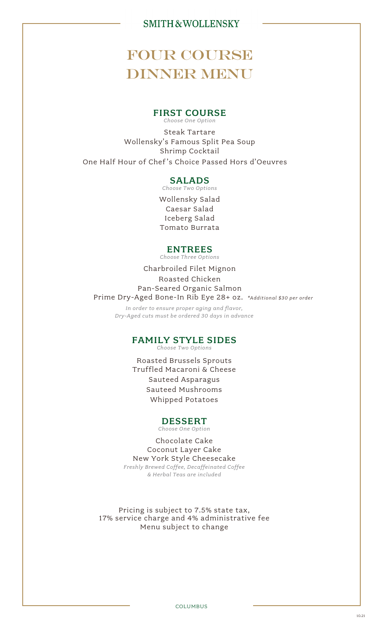## FOUR COURSE DINNER MENU

#### FIRST COURSE *Choose One Option*

Steak Tartare Wollensky's Famous Split Pea Soup Shrimp Cocktail One Half Hour of Chef's Choice Passed Hors d'Oeuvres

#### SALADS

*Choose Two Options*

Wollensky Salad Caesar Salad Iceberg Salad Tomato Burrata

#### ENTREES

*Choose Three Options*

Charbroiled Filet Mignon Roasted Chicken Pan-Seared Organic Salmon Prime Dry-Aged Bone-In Rib Eye 28+ oz. *\*Additional \$30 per order*

*In order to ensure proper aging and flavor, Dry-Aged cuts must be ordered 30 days in advance*

#### FAMILY STYLE SIDES

*Choose Two Options*

Roasted Brussels Sprouts Truffled Macaroni & Cheese Sauteed Asparagus Sauteed Mushrooms Whipped Potatoes

#### DESSERT

*Choose One Option*

Chocolate Cake Coconut Layer Cake New York Style Cheesecake *Freshly Brewed Coffee, Decaffeinated Coffee & Herbal Teas are included*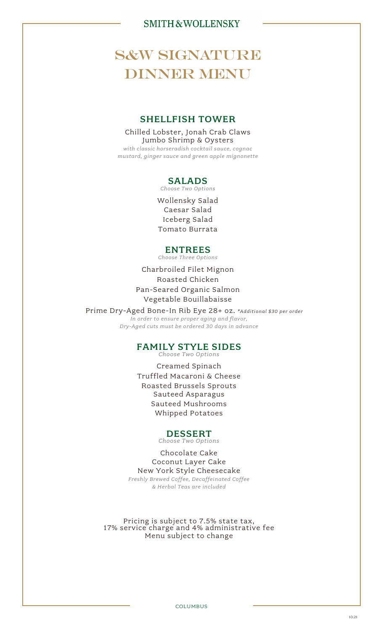## **S&W SIGNATURE** DINNER MENU

#### SHELLFISH TOWER

Chilled Lobster, Jonah Crab Claws Jumbo Shrimp & Oysters *with classic horseradish cocktail sauce, cognac mustard, ginger sauce and green apple mignonette*

#### SALADS

*Choose Two Options*

Wollensky Salad Caesar Salad Iceberg Salad Tomato Burrata

#### ENTREES

*Choose Three Options*

Charbroiled Filet Mignon Roasted Chicken Pan-Seared Organic Salmon Vegetable Bouillabaisse

 Prime Dry-Aged Bone-In Rib Eye 28+ oz. *\*Additional \$30 per order In order to ensure proper aging and flavor, Dry-Aged cuts must be ordered 30 days in advance*

### FAMILY STYLE SIDES

*Choose Two Options*

Creamed Spinach Truffled Macaroni & Cheese Roasted Brussels Sprouts Sauteed Asparagus Sauteed Mushrooms Whipped Potatoes

#### DESSERT

*Choose Two Options*

Chocolate Cake Coconut Layer Cake New York Style Cheesecake *Freshly Brewed Coffee, Decaffeinated Coffee & Herbal Teas are included*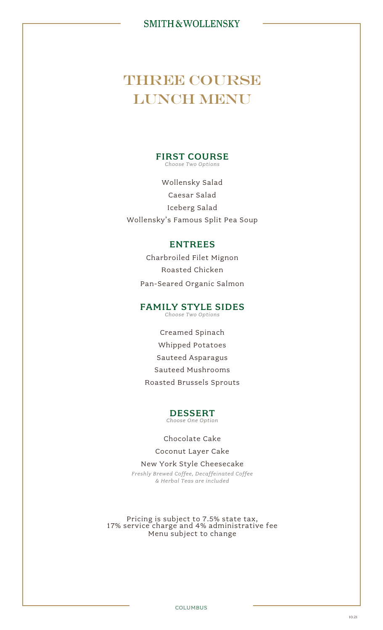## **THREE COURSE** LUNCH MENU

#### FIRST COURSE *Choose Two Options*

Wollensky Salad Caesar Salad Iceberg Salad Wollensky's Famous Split Pea Soup

#### ENTREES

Charbroiled Filet Mignon Roasted Chicken Pan-Seared Organic Salmon

### FAMILY STYLE SIDES

*Choose Two Options*

Creamed Spinach Whipped Potatoes Sauteed Asparagus Sauteed Mushrooms Roasted Brussels Sprouts

#### DESSERT *Choose One Option*

#### Chocolate Cake

Coconut Layer Cake

New York Style Cheesecake *Freshly Brewed Coffee, Decaffeinated Coffee & Herbal Teas are included*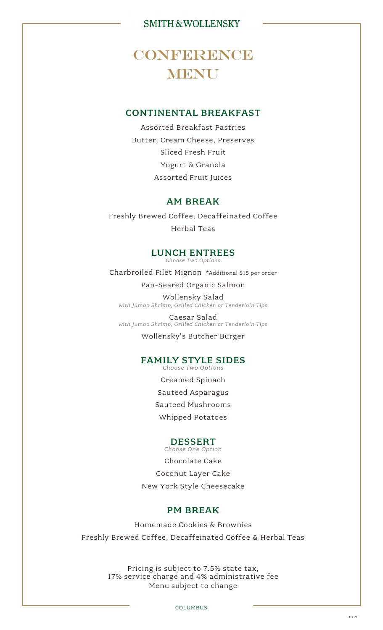## CONFERENCE **MENU**

#### CONTINENTAL BREAKFAST

Assorted Breakfast Pastries Butter, Cream Cheese, Preserves Sliced Fresh Fruit Yogurt & Granola Assorted Fruit Juices

#### AM BREAK

Freshly Brewed Coffee, Decaffeinated Coffee Herbal Teas

#### LUNCH ENTREES

*Choose Two Options*

Charbroiled Filet Mignon \*Additional \$15 per order

Pan-Seared Organic Salmon

Wollensky Salad *with Jumbo Shrimp, Grilled Chicken or Tenderloin Tips*

Caesar Salad *with Jumbo Shrimp, Grilled Chicken or Tenderloin Tips*

Wollensky's Butcher Burger

#### FAMILY STYLE SIDES *Choose Two Options*

Creamed Spinach Sauteed Asparagus Sauteed Mushrooms Whipped Potatoes

#### DESSERT

*Choose One Option* Chocolate Cake Coconut Layer Cake New York Style Cheesecake

#### PM BREAK

Homemade Cookies & Brownies Freshly Brewed Coffee, Decaffeinated Coffee & Herbal Teas

> Pricing is subject to 7.5% state tax, 17% service charge and 4% administrative fee Menu subject to change

> > COLUMBUS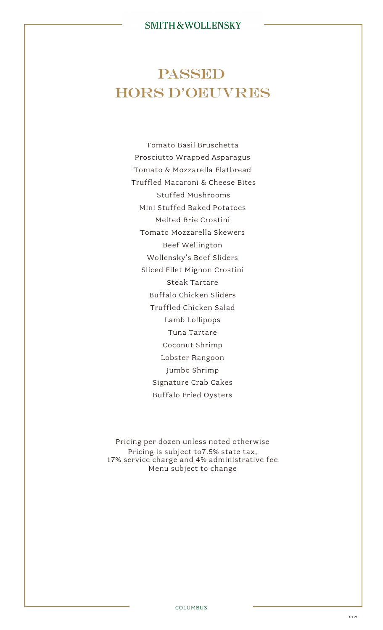## **PASSED** HORS D'OEUVRES

Tomato Basil Bruschetta Prosciutto Wrapped Asparagus Tomato & Mozzarella Flatbread Truffled Macaroni & Cheese Bites Stuffed Mushrooms Mini Stuffed Baked Potatoes Melted Brie Crostini Tomato Mozzarella Skewers Beef Wellington Wollensky's Beef Sliders Sliced Filet Mignon Crostini Steak Tartare Buffalo Chicken Sliders Truffled Chicken Salad Lamb Lollipops Tuna Tartare Coconut Shrimp Lobster Rangoon Jumbo Shrimp Signature Crab Cakes Buffalo Fried Oysters

Pricing per dozen unless noted otherwise Pricing is subject to7.5% state tax, 17% service charge and 4% administrative fee Menu subject to change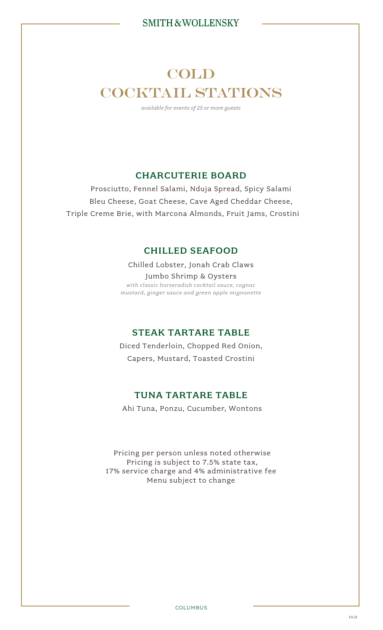## COLD COCKTAIL STATIONS

*available for events of 25 or more guests*

### CHARCUTERIE BOARD

Prosciutto, Fennel Salami, Nduja Spread, Spicy Salami Bleu Cheese, Goat Cheese, Cave Aged Cheddar Cheese, Triple Creme Brie, with Marcona Almonds, Fruit Jams, Crostini

#### CHILLED SEAFOOD

Chilled Lobster, Jonah Crab Claws Jumbo Shrimp & Oysters *with classic horseradish cocktail sauce, cognac mustard, ginger sauce and green apple mignonette*

#### STEAK TARTARE TABLE

Diced Tenderloin, Chopped Red Onion, Capers, Mustard, Toasted Crostini

#### TUNA TARTARE TABLE

Ahi Tuna, Ponzu, Cucumber, Wontons

Pricing per person unless noted otherwise Pricing is subject to 7.5% state tax, 17% service charge and 4% administrative fee Menu subject to change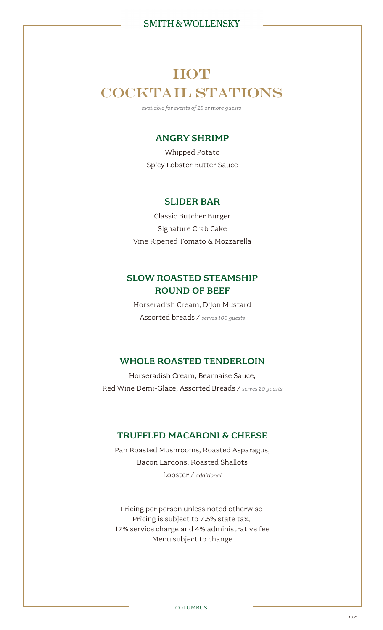## **HOT** COCKTAIL STATIONS

*available for events of 25 or more guests*

#### ANGRY SHRIMP

Whipped Potato Spicy Lobster Butter Sauce

#### SLIDER BAR

Classic Butcher Burger Signature Crab Cake Vine Ripened Tomato & Mozzarella

### SLOW ROASTED STEAMSHIP ROUND OF BEEF

Horseradish Cream, Dijon Mustard Assorted breads / *serves 100 guests*

#### WHOLE ROASTED TENDERLOIN

Horseradish Cream, Bearnaise Sauce, Red Wine Demi-Glace, Assorted Breads / *serves 20 guests*

#### TRUFFLED MACARONI & CHEESE

Pan Roasted Mushrooms, Roasted Asparagus, Bacon Lardons, Roasted Shallots Lobster / *additional* 

Pricing per person unless noted otherwise Pricing is subject to 7.5% state tax, 17% service charge and 4% administrative fee Menu subject to change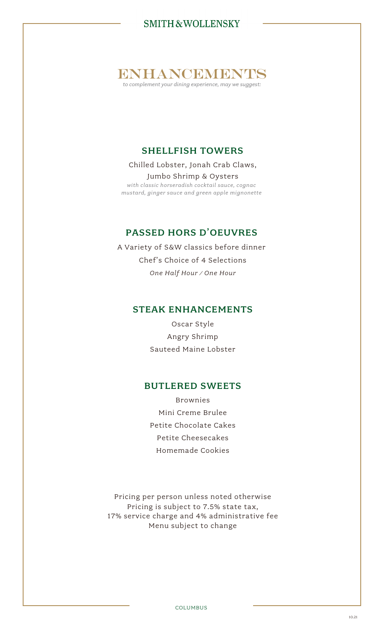ENTHANCEMENTS

*to complement your dining experience, may we suggest:*

### SHELLFISH TOWERS

Chilled Lobster, Jonah Crab Claws, Jumbo Shrimp & Oysters *with classic horseradish cocktail sauce, cognac*

*mustard, ginger sauce and green apple mignonette*

#### PASSED HORS D'OEUVRES

A Variety of S&W classics before dinner Chef's Choice of 4 Selections *One Half Hour / One Hour*

#### STEAK ENHANCEMENTS

Oscar Style Angry Shrimp Sauteed Maine Lobster

#### BUTLERED SWEETS

Brownies Mini Creme Brulee Petite Chocolate Cakes Petite Cheesecakes Homemade Cookies

Pricing per person unless noted otherwise Pricing is subject to 7.5% state tax, 17% service charge and 4% administrative fee Menu subject to change